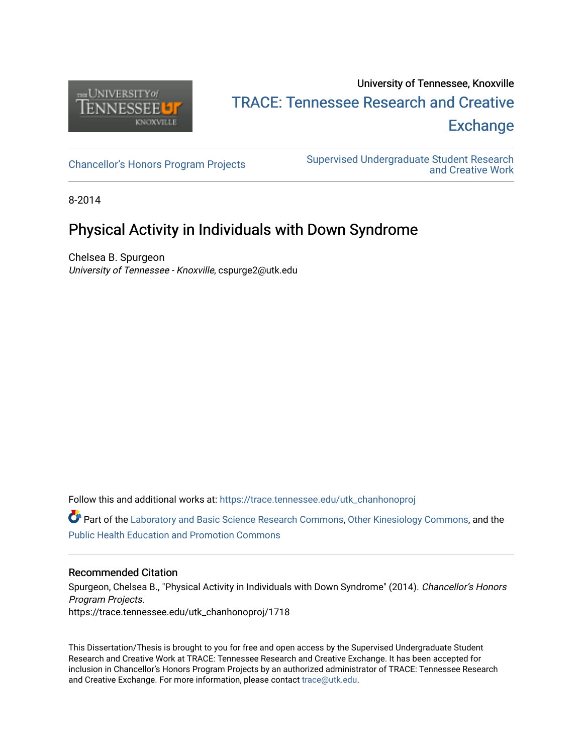

# University of Tennessee, Knoxville TRACE: T[ennessee Research and Cr](https://trace.tennessee.edu/)eative **Exchange**

[Chancellor's Honors Program Projects](https://trace.tennessee.edu/utk_chanhonoproj) Supervised Undergraduate Student Research [and Creative Work](https://trace.tennessee.edu/utk_supug) 

8-2014

## Physical Activity in Individuals with Down Syndrome

Chelsea B. Spurgeon University of Tennessee - Knoxville, cspurge2@utk.edu

Follow this and additional works at: [https://trace.tennessee.edu/utk\\_chanhonoproj](https://trace.tennessee.edu/utk_chanhonoproj?utm_source=trace.tennessee.edu%2Futk_chanhonoproj%2F1718&utm_medium=PDF&utm_campaign=PDFCoverPages) 

**C** Part of the [Laboratory and Basic Science Research Commons,](http://network.bepress.com/hgg/discipline/812?utm_source=trace.tennessee.edu%2Futk_chanhonoproj%2F1718&utm_medium=PDF&utm_campaign=PDFCoverPages) [Other Kinesiology Commons](http://network.bepress.com/hgg/discipline/47?utm_source=trace.tennessee.edu%2Futk_chanhonoproj%2F1718&utm_medium=PDF&utm_campaign=PDFCoverPages), and the [Public Health Education and Promotion Commons](http://network.bepress.com/hgg/discipline/743?utm_source=trace.tennessee.edu%2Futk_chanhonoproj%2F1718&utm_medium=PDF&utm_campaign=PDFCoverPages) 

#### Recommended Citation

Spurgeon, Chelsea B., "Physical Activity in Individuals with Down Syndrome" (2014). Chancellor's Honors Program Projects. https://trace.tennessee.edu/utk\_chanhonoproj/1718

This Dissertation/Thesis is brought to you for free and open access by the Supervised Undergraduate Student Research and Creative Work at TRACE: Tennessee Research and Creative Exchange. It has been accepted for inclusion in Chancellor's Honors Program Projects by an authorized administrator of TRACE: Tennessee Research and Creative Exchange. For more information, please contact [trace@utk.edu](mailto:trace@utk.edu).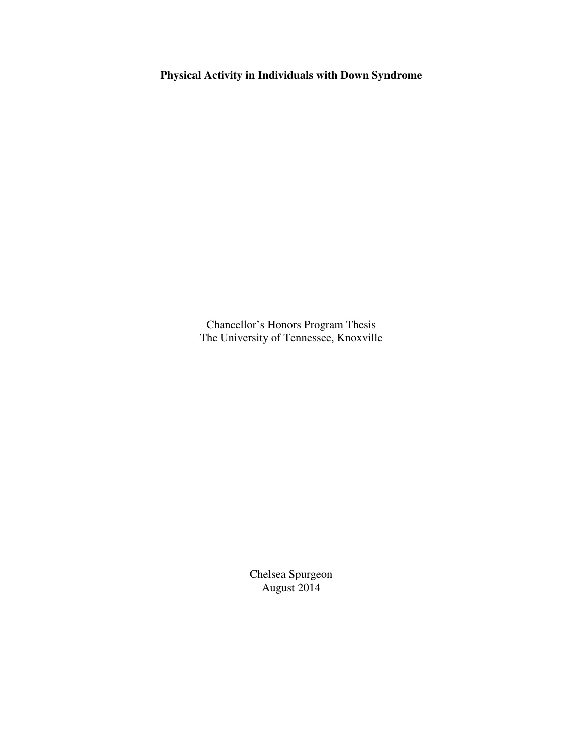**Physical Activity in Individuals with Down Syndrome** 

Chancellor's Honors Program Thesis The University of Tennessee, Knoxville

> Chelsea Spurgeon August 2014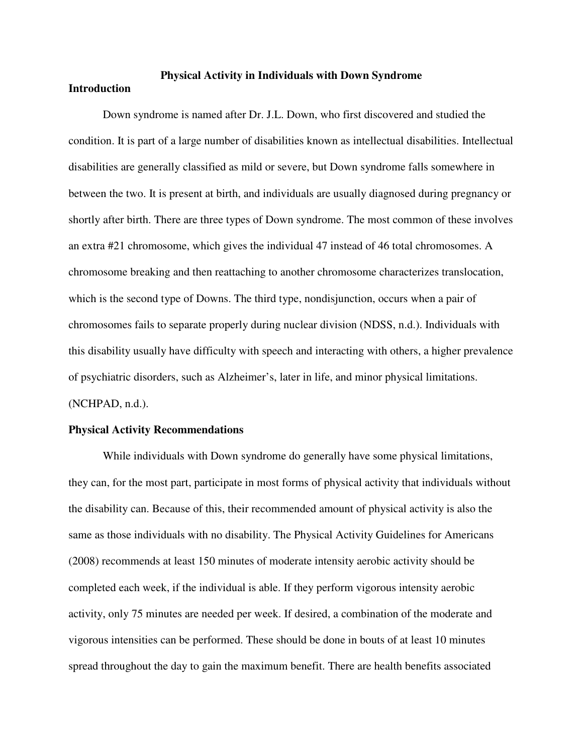### **Physical Activity in Individuals with Down Syndrome**

#### **Introduction**

 Down syndrome is named after Dr. J.L. Down, who first discovered and studied the condition. It is part of a large number of disabilities known as intellectual disabilities. Intellectual disabilities are generally classified as mild or severe, but Down syndrome falls somewhere in between the two. It is present at birth, and individuals are usually diagnosed during pregnancy or shortly after birth. There are three types of Down syndrome. The most common of these involves an extra #21 chromosome, which gives the individual 47 instead of 46 total chromosomes. A chromosome breaking and then reattaching to another chromosome characterizes translocation, which is the second type of Downs. The third type, nondisjunction, occurs when a pair of chromosomes fails to separate properly during nuclear division (NDSS, n.d.). Individuals with this disability usually have difficulty with speech and interacting with others, a higher prevalence of psychiatric disorders, such as Alzheimer's, later in life, and minor physical limitations. (NCHPAD, n.d.).

#### **Physical Activity Recommendations**

 While individuals with Down syndrome do generally have some physical limitations, they can, for the most part, participate in most forms of physical activity that individuals without the disability can. Because of this, their recommended amount of physical activity is also the same as those individuals with no disability. The Physical Activity Guidelines for Americans (2008) recommends at least 150 minutes of moderate intensity aerobic activity should be completed each week, if the individual is able. If they perform vigorous intensity aerobic activity, only 75 minutes are needed per week. If desired, a combination of the moderate and vigorous intensities can be performed. These should be done in bouts of at least 10 minutes spread throughout the day to gain the maximum benefit. There are health benefits associated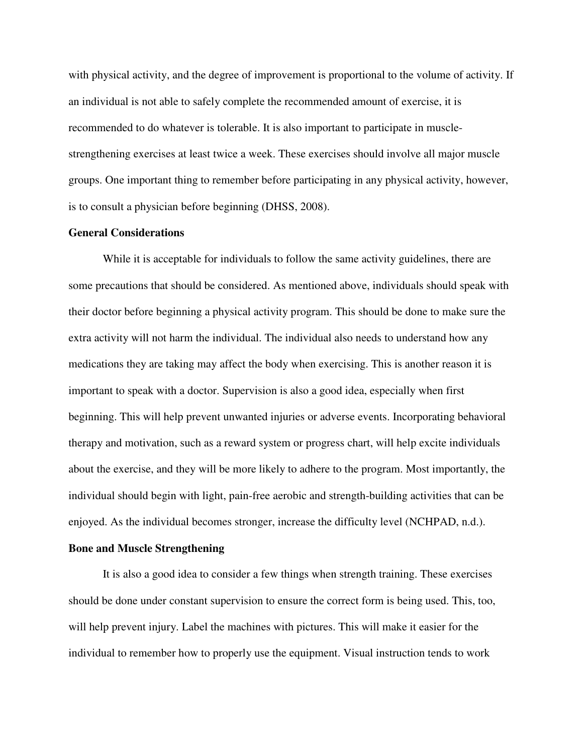with physical activity, and the degree of improvement is proportional to the volume of activity. If an individual is not able to safely complete the recommended amount of exercise, it is recommended to do whatever is tolerable. It is also important to participate in musclestrengthening exercises at least twice a week. These exercises should involve all major muscle groups. One important thing to remember before participating in any physical activity, however, is to consult a physician before beginning (DHSS, 2008).

#### **General Considerations**

 While it is acceptable for individuals to follow the same activity guidelines, there are some precautions that should be considered. As mentioned above, individuals should speak with their doctor before beginning a physical activity program. This should be done to make sure the extra activity will not harm the individual. The individual also needs to understand how any medications they are taking may affect the body when exercising. This is another reason it is important to speak with a doctor. Supervision is also a good idea, especially when first beginning. This will help prevent unwanted injuries or adverse events. Incorporating behavioral therapy and motivation, such as a reward system or progress chart, will help excite individuals about the exercise, and they will be more likely to adhere to the program. Most importantly, the individual should begin with light, pain-free aerobic and strength-building activities that can be enjoyed. As the individual becomes stronger, increase the difficulty level (NCHPAD, n.d.).

#### **Bone and Muscle Strengthening**

 It is also a good idea to consider a few things when strength training. These exercises should be done under constant supervision to ensure the correct form is being used. This, too, will help prevent injury. Label the machines with pictures. This will make it easier for the individual to remember how to properly use the equipment. Visual instruction tends to work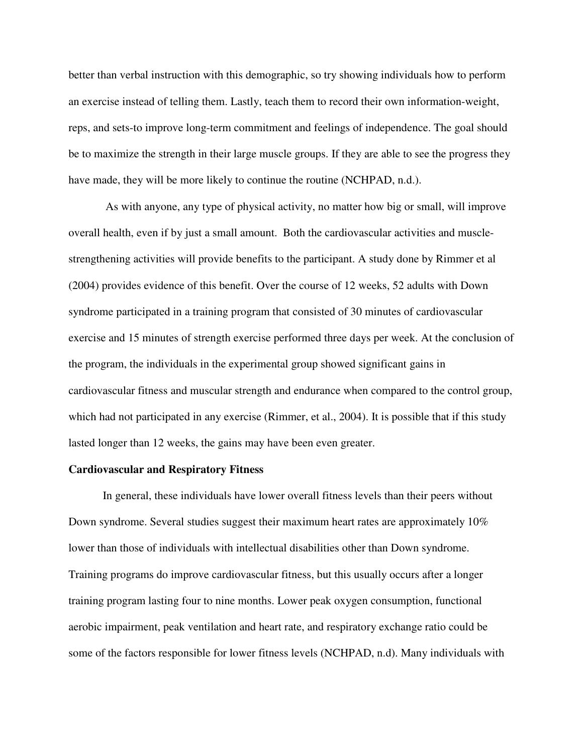better than verbal instruction with this demographic, so try showing individuals how to perform an exercise instead of telling them. Lastly, teach them to record their own information-weight, reps, and sets-to improve long-term commitment and feelings of independence. The goal should be to maximize the strength in their large muscle groups. If they are able to see the progress they have made, they will be more likely to continue the routine (NCHPAD, n.d.).

 As with anyone, any type of physical activity, no matter how big or small, will improve overall health, even if by just a small amount. Both the cardiovascular activities and musclestrengthening activities will provide benefits to the participant. A study done by Rimmer et al (2004) provides evidence of this benefit. Over the course of 12 weeks, 52 adults with Down syndrome participated in a training program that consisted of 30 minutes of cardiovascular exercise and 15 minutes of strength exercise performed three days per week. At the conclusion of the program, the individuals in the experimental group showed significant gains in cardiovascular fitness and muscular strength and endurance when compared to the control group, which had not participated in any exercise (Rimmer, et al., 2004). It is possible that if this study lasted longer than 12 weeks, the gains may have been even greater.

#### **Cardiovascular and Respiratory Fitness**

 In general, these individuals have lower overall fitness levels than their peers without Down syndrome. Several studies suggest their maximum heart rates are approximately 10% lower than those of individuals with intellectual disabilities other than Down syndrome. Training programs do improve cardiovascular fitness, but this usually occurs after a longer training program lasting four to nine months. Lower peak oxygen consumption, functional aerobic impairment, peak ventilation and heart rate, and respiratory exchange ratio could be some of the factors responsible for lower fitness levels (NCHPAD, n.d). Many individuals with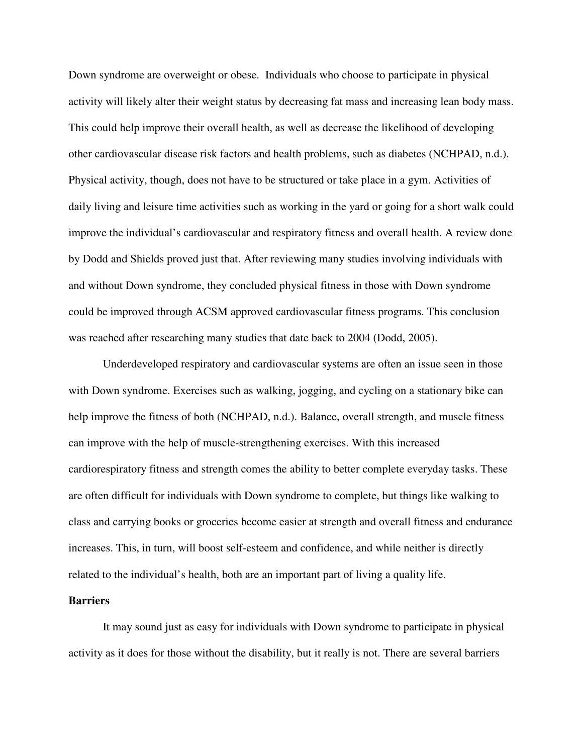Down syndrome are overweight or obese. Individuals who choose to participate in physical activity will likely alter their weight status by decreasing fat mass and increasing lean body mass. This could help improve their overall health, as well as decrease the likelihood of developing other cardiovascular disease risk factors and health problems, such as diabetes (NCHPAD, n.d.). Physical activity, though, does not have to be structured or take place in a gym. Activities of daily living and leisure time activities such as working in the yard or going for a short walk could improve the individual's cardiovascular and respiratory fitness and overall health. A review done by Dodd and Shields proved just that. After reviewing many studies involving individuals with and without Down syndrome, they concluded physical fitness in those with Down syndrome could be improved through ACSM approved cardiovascular fitness programs. This conclusion was reached after researching many studies that date back to 2004 (Dodd, 2005).

Underdeveloped respiratory and cardiovascular systems are often an issue seen in those with Down syndrome. Exercises such as walking, jogging, and cycling on a stationary bike can help improve the fitness of both (NCHPAD, n.d.). Balance, overall strength, and muscle fitness can improve with the help of muscle-strengthening exercises. With this increased cardiorespiratory fitness and strength comes the ability to better complete everyday tasks. These are often difficult for individuals with Down syndrome to complete, but things like walking to class and carrying books or groceries become easier at strength and overall fitness and endurance increases. This, in turn, will boost self-esteem and confidence, and while neither is directly related to the individual's health, both are an important part of living a quality life.

#### **Barriers**

 It may sound just as easy for individuals with Down syndrome to participate in physical activity as it does for those without the disability, but it really is not. There are several barriers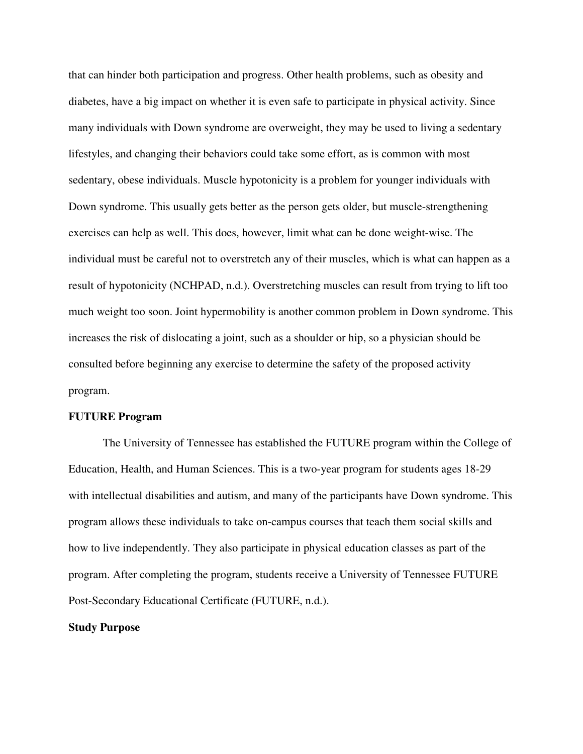that can hinder both participation and progress. Other health problems, such as obesity and diabetes, have a big impact on whether it is even safe to participate in physical activity. Since many individuals with Down syndrome are overweight, they may be used to living a sedentary lifestyles, and changing their behaviors could take some effort, as is common with most sedentary, obese individuals. Muscle hypotonicity is a problem for younger individuals with Down syndrome. This usually gets better as the person gets older, but muscle-strengthening exercises can help as well. This does, however, limit what can be done weight-wise. The individual must be careful not to overstretch any of their muscles, which is what can happen as a result of hypotonicity (NCHPAD, n.d.). Overstretching muscles can result from trying to lift too much weight too soon. Joint hypermobility is another common problem in Down syndrome. This increases the risk of dislocating a joint, such as a shoulder or hip, so a physician should be consulted before beginning any exercise to determine the safety of the proposed activity program.

#### **FUTURE Program**

 The University of Tennessee has established the FUTURE program within the College of Education, Health, and Human Sciences. This is a two-year program for students ages 18-29 with intellectual disabilities and autism, and many of the participants have Down syndrome. This program allows these individuals to take on-campus courses that teach them social skills and how to live independently. They also participate in physical education classes as part of the program. After completing the program, students receive a University of Tennessee FUTURE Post-Secondary Educational Certificate (FUTURE, n.d.).

#### **Study Purpose**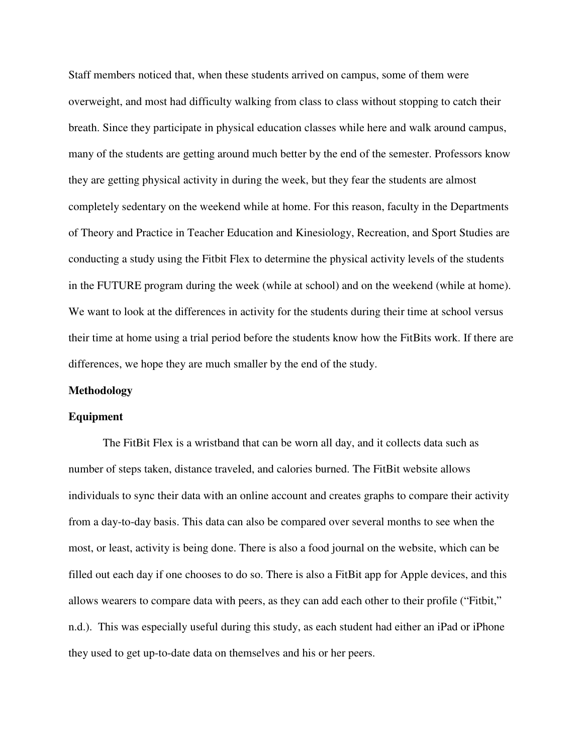Staff members noticed that, when these students arrived on campus, some of them were overweight, and most had difficulty walking from class to class without stopping to catch their breath. Since they participate in physical education classes while here and walk around campus, many of the students are getting around much better by the end of the semester. Professors know they are getting physical activity in during the week, but they fear the students are almost completely sedentary on the weekend while at home. For this reason, faculty in the Departments of Theory and Practice in Teacher Education and Kinesiology, Recreation, and Sport Studies are conducting a study using the Fitbit Flex to determine the physical activity levels of the students in the FUTURE program during the week (while at school) and on the weekend (while at home). We want to look at the differences in activity for the students during their time at school versus their time at home using a trial period before the students know how the FitBits work. If there are differences, we hope they are much smaller by the end of the study.

#### **Methodology**

#### **Equipment**

The FitBit Flex is a wristband that can be worn all day, and it collects data such as number of steps taken, distance traveled, and calories burned. The FitBit website allows individuals to sync their data with an online account and creates graphs to compare their activity from a day-to-day basis. This data can also be compared over several months to see when the most, or least, activity is being done. There is also a food journal on the website, which can be filled out each day if one chooses to do so. There is also a FitBit app for Apple devices, and this allows wearers to compare data with peers, as they can add each other to their profile ("Fitbit," n.d.). This was especially useful during this study, as each student had either an iPad or iPhone they used to get up-to-date data on themselves and his or her peers.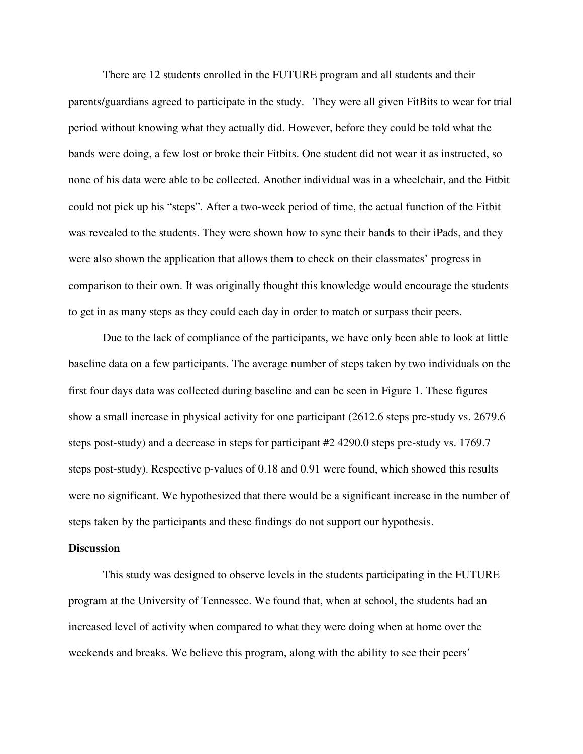There are 12 students enrolled in the FUTURE program and all students and their parents/guardians agreed to participate in the study. They were all given FitBits to wear for trial period without knowing what they actually did. However, before they could be told what the bands were doing, a few lost or broke their Fitbits. One student did not wear it as instructed, so none of his data were able to be collected. Another individual was in a wheelchair, and the Fitbit could not pick up his "steps". After a two-week period of time, the actual function of the Fitbit was revealed to the students. They were shown how to sync their bands to their iPads, and they were also shown the application that allows them to check on their classmates' progress in comparison to their own. It was originally thought this knowledge would encourage the students to get in as many steps as they could each day in order to match or surpass their peers.

 Due to the lack of compliance of the participants, we have only been able to look at little baseline data on a few participants. The average number of steps taken by two individuals on the first four days data was collected during baseline and can be seen in Figure 1. These figures show a small increase in physical activity for one participant (2612.6 steps pre-study vs. 2679.6 steps post-study) and a decrease in steps for participant #2 4290.0 steps pre-study vs. 1769.7 steps post-study). Respective p-values of 0.18 and 0.91 were found, which showed this results were no significant. We hypothesized that there would be a significant increase in the number of steps taken by the participants and these findings do not support our hypothesis.

#### **Discussion**

This study was designed to observe levels in the students participating in the FUTURE program at the University of Tennessee. We found that, when at school, the students had an increased level of activity when compared to what they were doing when at home over the weekends and breaks. We believe this program, along with the ability to see their peers'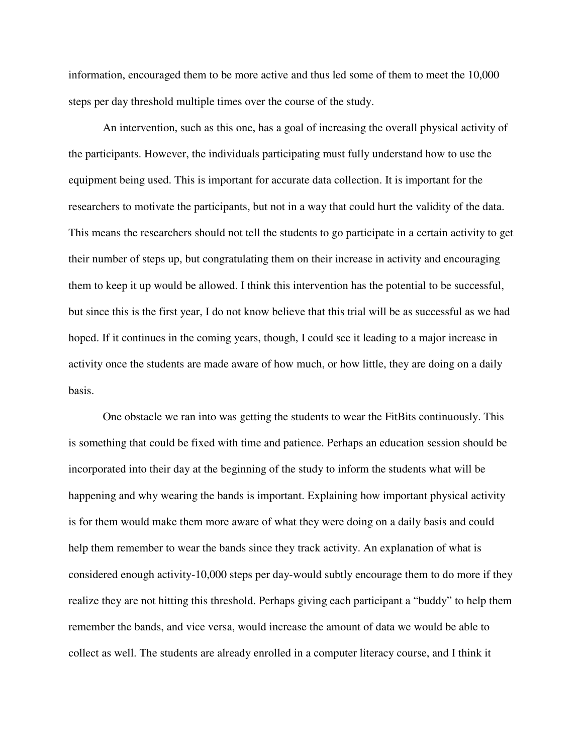information, encouraged them to be more active and thus led some of them to meet the 10,000 steps per day threshold multiple times over the course of the study.

An intervention, such as this one, has a goal of increasing the overall physical activity of the participants. However, the individuals participating must fully understand how to use the equipment being used. This is important for accurate data collection. It is important for the researchers to motivate the participants, but not in a way that could hurt the validity of the data. This means the researchers should not tell the students to go participate in a certain activity to get their number of steps up, but congratulating them on their increase in activity and encouraging them to keep it up would be allowed. I think this intervention has the potential to be successful, but since this is the first year, I do not know believe that this trial will be as successful as we had hoped. If it continues in the coming years, though, I could see it leading to a major increase in activity once the students are made aware of how much, or how little, they are doing on a daily basis.

One obstacle we ran into was getting the students to wear the FitBits continuously. This is something that could be fixed with time and patience. Perhaps an education session should be incorporated into their day at the beginning of the study to inform the students what will be happening and why wearing the bands is important. Explaining how important physical activity is for them would make them more aware of what they were doing on a daily basis and could help them remember to wear the bands since they track activity. An explanation of what is considered enough activity-10,000 steps per day-would subtly encourage them to do more if they realize they are not hitting this threshold. Perhaps giving each participant a "buddy" to help them remember the bands, and vice versa, would increase the amount of data we would be able to collect as well. The students are already enrolled in a computer literacy course, and I think it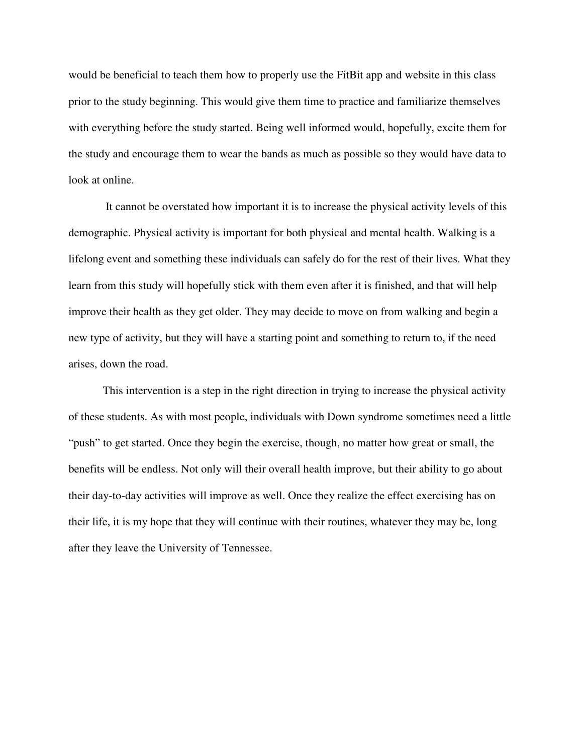would be beneficial to teach them how to properly use the FitBit app and website in this class prior to the study beginning. This would give them time to practice and familiarize themselves with everything before the study started. Being well informed would, hopefully, excite them for the study and encourage them to wear the bands as much as possible so they would have data to look at online.

 It cannot be overstated how important it is to increase the physical activity levels of this demographic. Physical activity is important for both physical and mental health. Walking is a lifelong event and something these individuals can safely do for the rest of their lives. What they learn from this study will hopefully stick with them even after it is finished, and that will help improve their health as they get older. They may decide to move on from walking and begin a new type of activity, but they will have a starting point and something to return to, if the need arises, down the road.

 This intervention is a step in the right direction in trying to increase the physical activity of these students. As with most people, individuals with Down syndrome sometimes need a little "push" to get started. Once they begin the exercise, though, no matter how great or small, the benefits will be endless. Not only will their overall health improve, but their ability to go about their day-to-day activities will improve as well. Once they realize the effect exercising has on their life, it is my hope that they will continue with their routines, whatever they may be, long after they leave the University of Tennessee.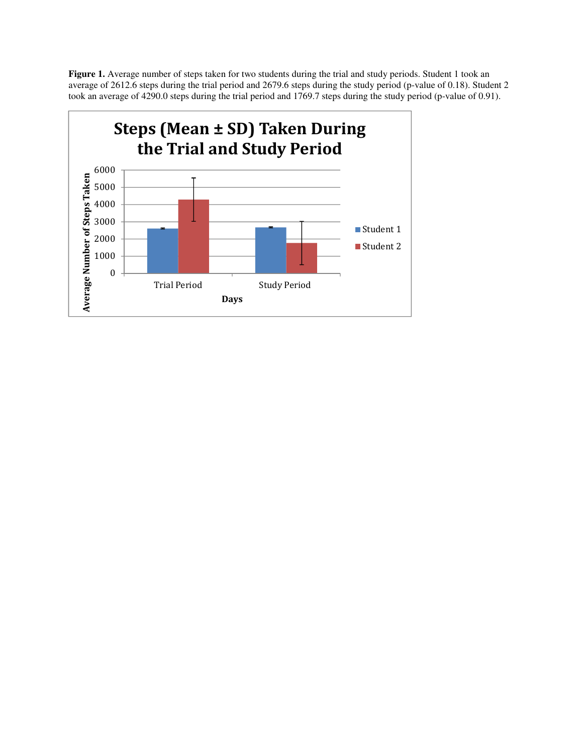Figure 1. Average number of steps taken for two students during the trial and study periods. Student 1 took an average of 2612.6 steps during the trial period and 2679.6 steps during the study period (p-value of 0.18). Student 2 took an average of 4290.0 steps during the trial period and 1769.7 steps during the study period (p-value of 0.91).